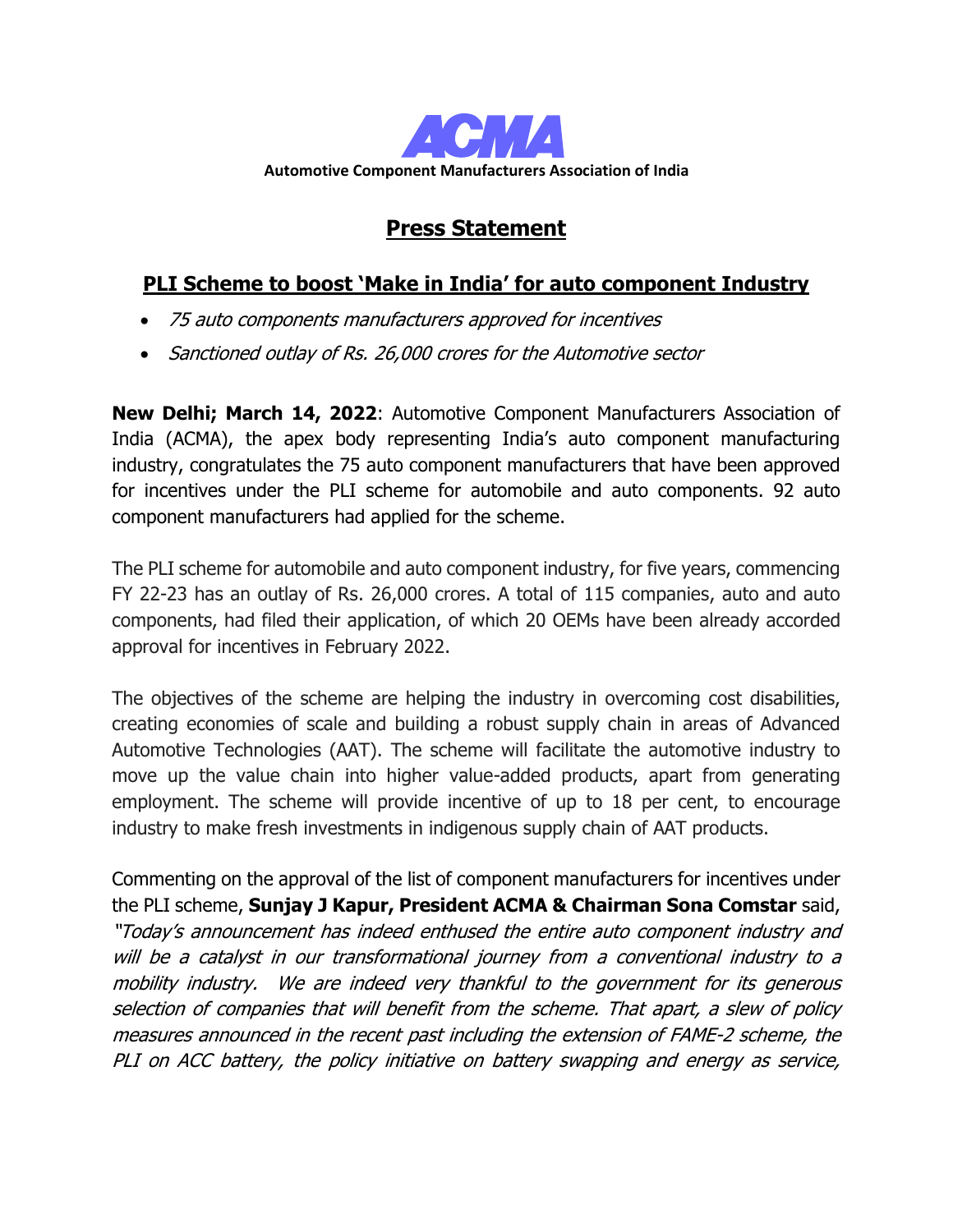

## **Press Statement**

## **PLI Scheme to boost 'Make in India' for auto component Industry**

- 75 auto components manufacturers approved for incentives
- Sanctioned outlay of Rs. 26,000 crores for the Automotive sector

**New Delhi; March 14, 2022**: Automotive Component Manufacturers Association of India (ACMA), the apex body representing India's auto component manufacturing industry, congratulates the 75 auto component manufacturers that have been approved for incentives under the PLI scheme for automobile and auto components. 92 auto component manufacturers had applied for the scheme.

The PLI scheme for automobile and auto component industry, for five years, commencing FY 22-23 has an outlay of Rs. 26,000 crores. A total of 115 companies, auto and auto components, had filed their application, of which 20 OEMs have been already accorded approval for incentives in February 2022.

The objectives of the scheme are helping the industry in overcoming cost disabilities, creating economies of scale and building a robust supply chain in areas of Advanced Automotive Technologies (AAT). The scheme will facilitate the automotive industry to move up the value chain into higher value-added products, apart from generating employment. The scheme will provide incentive of up to 18 per cent, to encourage industry to make fresh investments in indigenous supply chain of AAT products.

Commenting on the approval of the list of component manufacturers for incentives under the PLI scheme, **Sunjay J Kapur, President ACMA & Chairman Sona Comstar** said, "Today's announcement has indeed enthused the entire auto component industry and will be a catalyst in our transformational journey from a conventional industry to a mobility industry. We are indeed very thankful to the government for its generous selection of companies that will benefit from the scheme. That apart, a slew of policy measures announced in the recent past including the extension of FAME-2 scheme, the PLI on ACC battery, the policy initiative on battery swapping and energy as service,